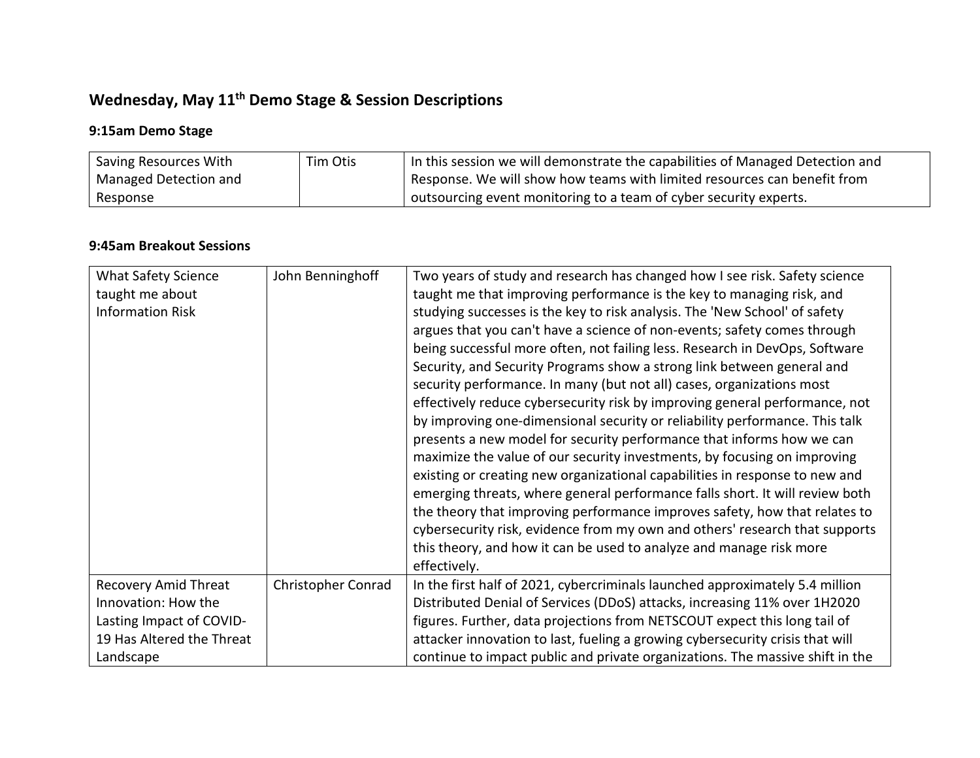# **Wednesday, May 11th Demo Stage & Session Descriptions**

# **9:15am Demo Stage**

| Saving Resources With | Tim Otis | In this session we will demonstrate the capabilities of Managed Detection and |
|-----------------------|----------|-------------------------------------------------------------------------------|
| Managed Detection and |          | Response. We will show how teams with limited resources can benefit from      |
| Response              |          | l outsourcing event monitoring to a team of cyber security experts.           |

### **9:45am Breakout Sessions**

| <b>What Safety Science</b>  | John Benninghoff   | Two years of study and research has changed how I see risk. Safety science    |
|-----------------------------|--------------------|-------------------------------------------------------------------------------|
| taught me about             |                    | taught me that improving performance is the key to managing risk, and         |
| <b>Information Risk</b>     |                    | studying successes is the key to risk analysis. The 'New School' of safety    |
|                             |                    | argues that you can't have a science of non-events; safety comes through      |
|                             |                    | being successful more often, not failing less. Research in DevOps, Software   |
|                             |                    | Security, and Security Programs show a strong link between general and        |
|                             |                    | security performance. In many (but not all) cases, organizations most         |
|                             |                    | effectively reduce cybersecurity risk by improving general performance, not   |
|                             |                    | by improving one-dimensional security or reliability performance. This talk   |
|                             |                    | presents a new model for security performance that informs how we can         |
|                             |                    | maximize the value of our security investments, by focusing on improving      |
|                             |                    | existing or creating new organizational capabilities in response to new and   |
|                             |                    | emerging threats, where general performance falls short. It will review both  |
|                             |                    | the theory that improving performance improves safety, how that relates to    |
|                             |                    | cybersecurity risk, evidence from my own and others' research that supports   |
|                             |                    | this theory, and how it can be used to analyze and manage risk more           |
|                             |                    | effectively.                                                                  |
| <b>Recovery Amid Threat</b> | Christopher Conrad | In the first half of 2021, cybercriminals launched approximately 5.4 million  |
| Innovation: How the         |                    | Distributed Denial of Services (DDoS) attacks, increasing 11% over 1H2020     |
| Lasting Impact of COVID-    |                    | figures. Further, data projections from NETSCOUT expect this long tail of     |
| 19 Has Altered the Threat   |                    | attacker innovation to last, fueling a growing cybersecurity crisis that will |
| Landscape                   |                    | continue to impact public and private organizations. The massive shift in the |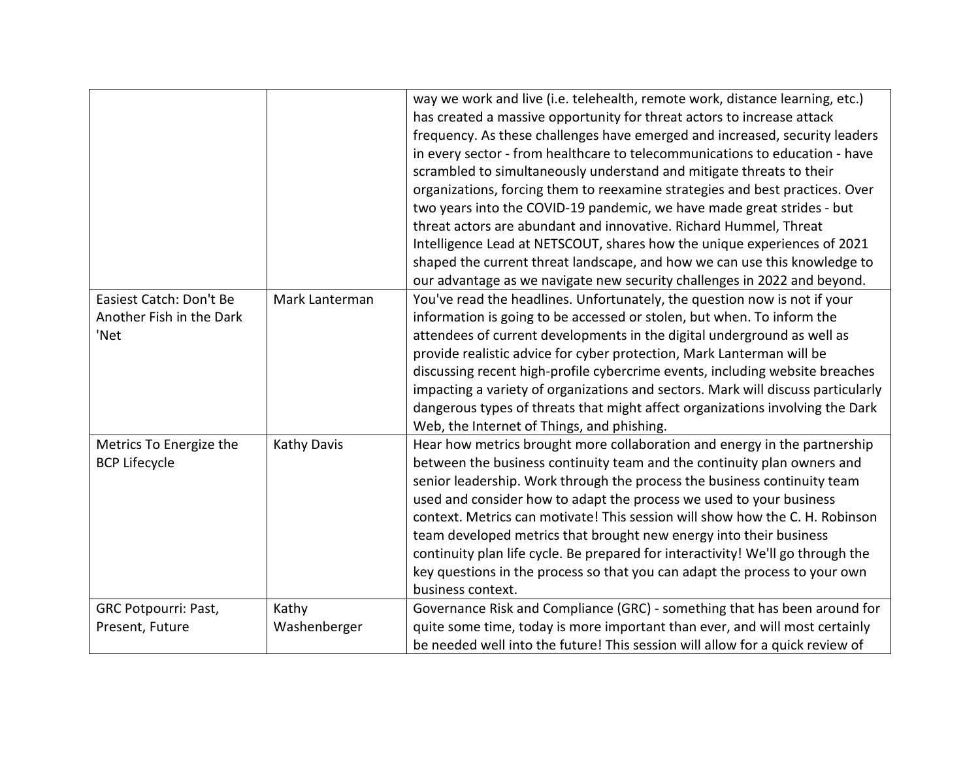|                                                             |                       | way we work and live (i.e. telehealth, remote work, distance learning, etc.)<br>has created a massive opportunity for threat actors to increase attack<br>frequency. As these challenges have emerged and increased, security leaders<br>in every sector - from healthcare to telecommunications to education - have<br>scrambled to simultaneously understand and mitigate threats to their<br>organizations, forcing them to reexamine strategies and best practices. Over<br>two years into the COVID-19 pandemic, we have made great strides - but<br>threat actors are abundant and innovative. Richard Hummel, Threat<br>Intelligence Lead at NETSCOUT, shares how the unique experiences of 2021<br>shaped the current threat landscape, and how we can use this knowledge to<br>our advantage as we navigate new security challenges in 2022 and beyond. |
|-------------------------------------------------------------|-----------------------|------------------------------------------------------------------------------------------------------------------------------------------------------------------------------------------------------------------------------------------------------------------------------------------------------------------------------------------------------------------------------------------------------------------------------------------------------------------------------------------------------------------------------------------------------------------------------------------------------------------------------------------------------------------------------------------------------------------------------------------------------------------------------------------------------------------------------------------------------------------|
| Easiest Catch: Don't Be<br>Another Fish in the Dark<br>'Net | Mark Lanterman        | You've read the headlines. Unfortunately, the question now is not if your<br>information is going to be accessed or stolen, but when. To inform the<br>attendees of current developments in the digital underground as well as<br>provide realistic advice for cyber protection, Mark Lanterman will be<br>discussing recent high-profile cybercrime events, including website breaches<br>impacting a variety of organizations and sectors. Mark will discuss particularly<br>dangerous types of threats that might affect organizations involving the Dark<br>Web, the Internet of Things, and phishing.                                                                                                                                                                                                                                                       |
| Metrics To Energize the<br><b>BCP Lifecycle</b>             | Kathy Davis           | Hear how metrics brought more collaboration and energy in the partnership<br>between the business continuity team and the continuity plan owners and<br>senior leadership. Work through the process the business continuity team<br>used and consider how to adapt the process we used to your business<br>context. Metrics can motivate! This session will show how the C. H. Robinson<br>team developed metrics that brought new energy into their business<br>continuity plan life cycle. Be prepared for interactivity! We'll go through the<br>key questions in the process so that you can adapt the process to your own<br>business context.                                                                                                                                                                                                              |
| <b>GRC Potpourri: Past,</b><br>Present, Future              | Kathy<br>Washenberger | Governance Risk and Compliance (GRC) - something that has been around for<br>quite some time, today is more important than ever, and will most certainly<br>be needed well into the future! This session will allow for a quick review of                                                                                                                                                                                                                                                                                                                                                                                                                                                                                                                                                                                                                        |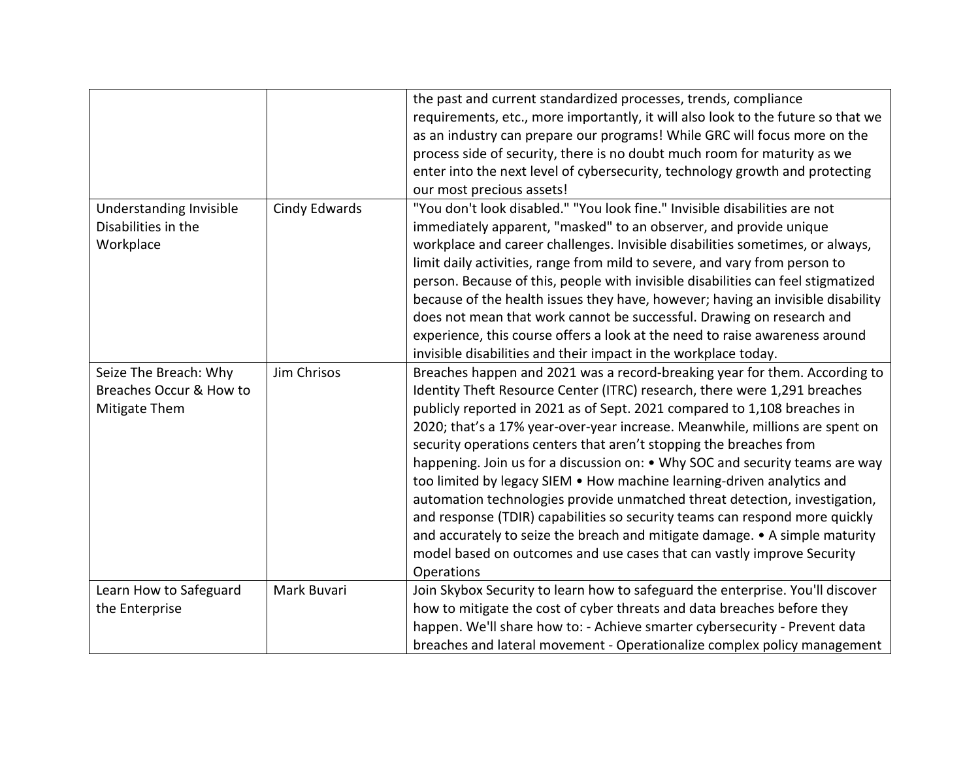|                                                                   |               | the past and current standardized processes, trends, compliance<br>requirements, etc., more importantly, it will also look to the future so that we<br>as an industry can prepare our programs! While GRC will focus more on the<br>process side of security, there is no doubt much room for maturity as we<br>enter into the next level of cybersecurity, technology growth and protecting<br>our most precious assets!                                                                                                                                                                                                                                                                                                                                                                                                                                                               |
|-------------------------------------------------------------------|---------------|-----------------------------------------------------------------------------------------------------------------------------------------------------------------------------------------------------------------------------------------------------------------------------------------------------------------------------------------------------------------------------------------------------------------------------------------------------------------------------------------------------------------------------------------------------------------------------------------------------------------------------------------------------------------------------------------------------------------------------------------------------------------------------------------------------------------------------------------------------------------------------------------|
| Understanding Invisible<br>Disabilities in the<br>Workplace       | Cindy Edwards | "You don't look disabled." "You look fine." Invisible disabilities are not<br>immediately apparent, "masked" to an observer, and provide unique<br>workplace and career challenges. Invisible disabilities sometimes, or always,<br>limit daily activities, range from mild to severe, and vary from person to<br>person. Because of this, people with invisible disabilities can feel stigmatized<br>because of the health issues they have, however; having an invisible disability<br>does not mean that work cannot be successful. Drawing on research and<br>experience, this course offers a look at the need to raise awareness around<br>invisible disabilities and their impact in the workplace today.                                                                                                                                                                        |
| Seize The Breach: Why<br>Breaches Occur & How to<br>Mitigate Them | Jim Chrisos   | Breaches happen and 2021 was a record-breaking year for them. According to<br>Identity Theft Resource Center (ITRC) research, there were 1,291 breaches<br>publicly reported in 2021 as of Sept. 2021 compared to 1,108 breaches in<br>2020; that's a 17% year-over-year increase. Meanwhile, millions are spent on<br>security operations centers that aren't stopping the breaches from<br>happening. Join us for a discussion on: • Why SOC and security teams are way<br>too limited by legacy SIEM . How machine learning-driven analytics and<br>automation technologies provide unmatched threat detection, investigation,<br>and response (TDIR) capabilities so security teams can respond more quickly<br>and accurately to seize the breach and mitigate damage. • A simple maturity<br>model based on outcomes and use cases that can vastly improve Security<br>Operations |
| Learn How to Safeguard<br>the Enterprise                          | Mark Buvari   | Join Skybox Security to learn how to safeguard the enterprise. You'll discover<br>how to mitigate the cost of cyber threats and data breaches before they<br>happen. We'll share how to: - Achieve smarter cybersecurity - Prevent data<br>breaches and lateral movement - Operationalize complex policy management                                                                                                                                                                                                                                                                                                                                                                                                                                                                                                                                                                     |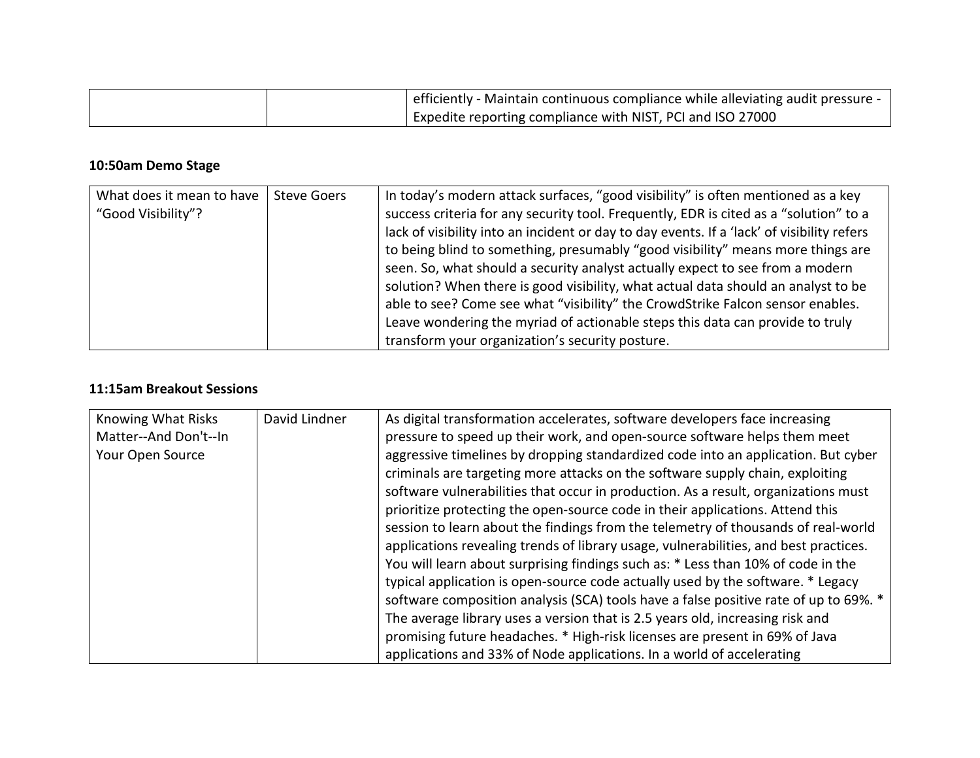|  | efficiently - Maintain continuous compliance while alleviating audit pressure - |
|--|---------------------------------------------------------------------------------|
|  | Expedite reporting compliance with NIST, PCI and ISO 27000                      |

## **10:50am Demo Stage**

| What does it mean to have | <b>Steve Goers</b> | In today's modern attack surfaces, "good visibility" is often mentioned as a key           |
|---------------------------|--------------------|--------------------------------------------------------------------------------------------|
| "Good Visibility"?        |                    | success criteria for any security tool. Frequently, EDR is cited as a "solution" to a      |
|                           |                    | lack of visibility into an incident or day to day events. If a 'lack' of visibility refers |
|                           |                    | to being blind to something, presumably "good visibility" means more things are            |
|                           |                    | seen. So, what should a security analyst actually expect to see from a modern              |
|                           |                    | solution? When there is good visibility, what actual data should an analyst to be          |
|                           |                    | able to see? Come see what "visibility" the CrowdStrike Falcon sensor enables.             |
|                           |                    | Leave wondering the myriad of actionable steps this data can provide to truly              |
|                           |                    | transform your organization's security posture.                                            |

#### **11:15am Breakout Sessions**

| aggressive timelines by dropping standardized code into an application. But cyber<br>criminals are targeting more attacks on the software supply chain, exploiting<br>software vulnerabilities that occur in production. As a result, organizations must<br>prioritize protecting the open-source code in their applications. Attend this<br>session to learn about the findings from the telemetry of thousands of real-world<br>applications revealing trends of library usage, vulnerabilities, and best practices.<br>You will learn about surprising findings such as: * Less than 10% of code in the<br>typical application is open-source code actually used by the software. * Legacy |
|-----------------------------------------------------------------------------------------------------------------------------------------------------------------------------------------------------------------------------------------------------------------------------------------------------------------------------------------------------------------------------------------------------------------------------------------------------------------------------------------------------------------------------------------------------------------------------------------------------------------------------------------------------------------------------------------------|
| software composition analysis (SCA) tools have a false positive rate of up to 69%. *                                                                                                                                                                                                                                                                                                                                                                                                                                                                                                                                                                                                          |
| The average library uses a version that is 2.5 years old, increasing risk and                                                                                                                                                                                                                                                                                                                                                                                                                                                                                                                                                                                                                 |
| promising future headaches. * High-risk licenses are present in 69% of Java<br>applications and 33% of Node applications. In a world of accelerating                                                                                                                                                                                                                                                                                                                                                                                                                                                                                                                                          |
|                                                                                                                                                                                                                                                                                                                                                                                                                                                                                                                                                                                                                                                                                               |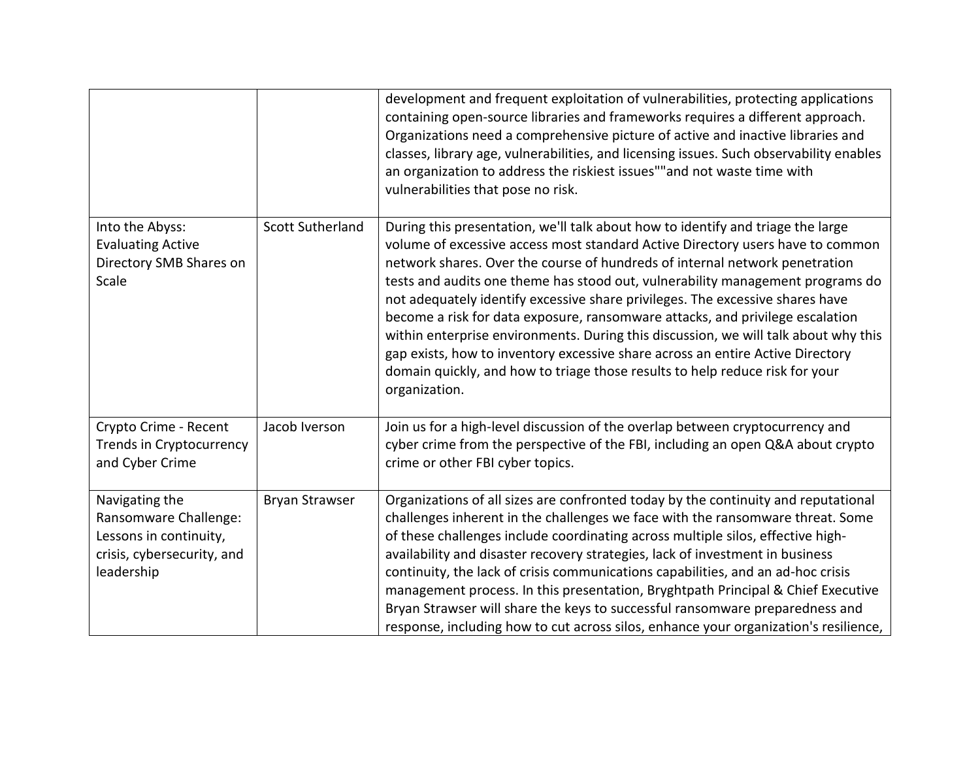|                                                                                                               |                         | development and frequent exploitation of vulnerabilities, protecting applications<br>containing open-source libraries and frameworks requires a different approach.<br>Organizations need a comprehensive picture of active and inactive libraries and<br>classes, library age, vulnerabilities, and licensing issues. Such observability enables<br>an organization to address the riskiest issues""and not waste time with<br>vulnerabilities that pose no risk.                                                                                                                                                                                                                                                                                                             |
|---------------------------------------------------------------------------------------------------------------|-------------------------|--------------------------------------------------------------------------------------------------------------------------------------------------------------------------------------------------------------------------------------------------------------------------------------------------------------------------------------------------------------------------------------------------------------------------------------------------------------------------------------------------------------------------------------------------------------------------------------------------------------------------------------------------------------------------------------------------------------------------------------------------------------------------------|
| Into the Abyss:<br><b>Evaluating Active</b><br>Directory SMB Shares on<br>Scale                               | <b>Scott Sutherland</b> | During this presentation, we'll talk about how to identify and triage the large<br>volume of excessive access most standard Active Directory users have to common<br>network shares. Over the course of hundreds of internal network penetration<br>tests and audits one theme has stood out, vulnerability management programs do<br>not adequately identify excessive share privileges. The excessive shares have<br>become a risk for data exposure, ransomware attacks, and privilege escalation<br>within enterprise environments. During this discussion, we will talk about why this<br>gap exists, how to inventory excessive share across an entire Active Directory<br>domain quickly, and how to triage those results to help reduce risk for your<br>organization. |
| Crypto Crime - Recent<br>Trends in Cryptocurrency<br>and Cyber Crime                                          | Jacob Iverson           | Join us for a high-level discussion of the overlap between cryptocurrency and<br>cyber crime from the perspective of the FBI, including an open Q&A about crypto<br>crime or other FBI cyber topics.                                                                                                                                                                                                                                                                                                                                                                                                                                                                                                                                                                           |
| Navigating the<br>Ransomware Challenge:<br>Lessons in continuity,<br>crisis, cybersecurity, and<br>leadership | Bryan Strawser          | Organizations of all sizes are confronted today by the continuity and reputational<br>challenges inherent in the challenges we face with the ransomware threat. Some<br>of these challenges include coordinating across multiple silos, effective high-<br>availability and disaster recovery strategies, lack of investment in business<br>continuity, the lack of crisis communications capabilities, and an ad-hoc crisis<br>management process. In this presentation, Bryghtpath Principal & Chief Executive<br>Bryan Strawser will share the keys to successful ransomware preparedness and<br>response, including how to cut across silos, enhance your organization's resilience,                                                                                       |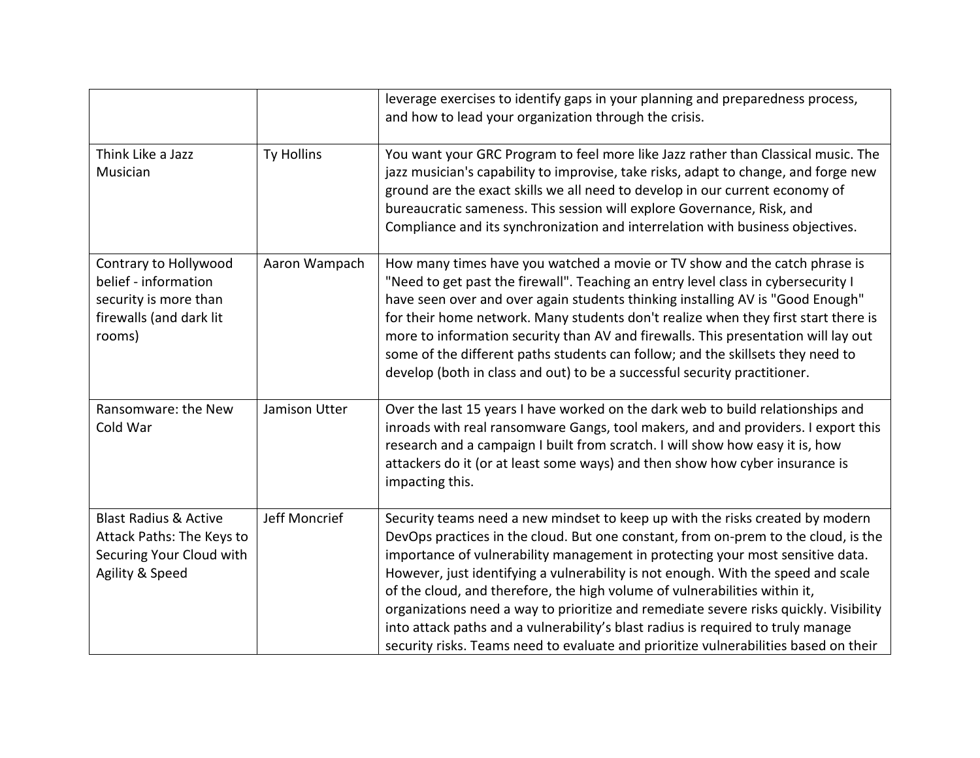|                                                                                                              |               | leverage exercises to identify gaps in your planning and preparedness process,<br>and how to lead your organization through the crisis.                                                                                                                                                                                                                                                                                                                                                                                                                                                                                                                                                       |
|--------------------------------------------------------------------------------------------------------------|---------------|-----------------------------------------------------------------------------------------------------------------------------------------------------------------------------------------------------------------------------------------------------------------------------------------------------------------------------------------------------------------------------------------------------------------------------------------------------------------------------------------------------------------------------------------------------------------------------------------------------------------------------------------------------------------------------------------------|
| Think Like a Jazz<br>Musician                                                                                | Ty Hollins    | You want your GRC Program to feel more like Jazz rather than Classical music. The<br>jazz musician's capability to improvise, take risks, adapt to change, and forge new<br>ground are the exact skills we all need to develop in our current economy of<br>bureaucratic sameness. This session will explore Governance, Risk, and<br>Compliance and its synchronization and interrelation with business objectives.                                                                                                                                                                                                                                                                          |
| Contrary to Hollywood<br>belief - information<br>security is more than<br>firewalls (and dark lit<br>rooms)  | Aaron Wampach | How many times have you watched a movie or TV show and the catch phrase is<br>"Need to get past the firewall". Teaching an entry level class in cybersecurity I<br>have seen over and over again students thinking installing AV is "Good Enough"<br>for their home network. Many students don't realize when they first start there is<br>more to information security than AV and firewalls. This presentation will lay out<br>some of the different paths students can follow; and the skillsets they need to<br>develop (both in class and out) to be a successful security practitioner.                                                                                                 |
| Ransomware: the New<br>Cold War                                                                              | Jamison Utter | Over the last 15 years I have worked on the dark web to build relationships and<br>inroads with real ransomware Gangs, tool makers, and and providers. I export this<br>research and a campaign I built from scratch. I will show how easy it is, how<br>attackers do it (or at least some ways) and then show how cyber insurance is<br>impacting this.                                                                                                                                                                                                                                                                                                                                      |
| <b>Blast Radius &amp; Active</b><br>Attack Paths: The Keys to<br>Securing Your Cloud with<br>Agility & Speed | Jeff Moncrief | Security teams need a new mindset to keep up with the risks created by modern<br>DevOps practices in the cloud. But one constant, from on-prem to the cloud, is the<br>importance of vulnerability management in protecting your most sensitive data.<br>However, just identifying a vulnerability is not enough. With the speed and scale<br>of the cloud, and therefore, the high volume of vulnerabilities within it,<br>organizations need a way to prioritize and remediate severe risks quickly. Visibility<br>into attack paths and a vulnerability's blast radius is required to truly manage<br>security risks. Teams need to evaluate and prioritize vulnerabilities based on their |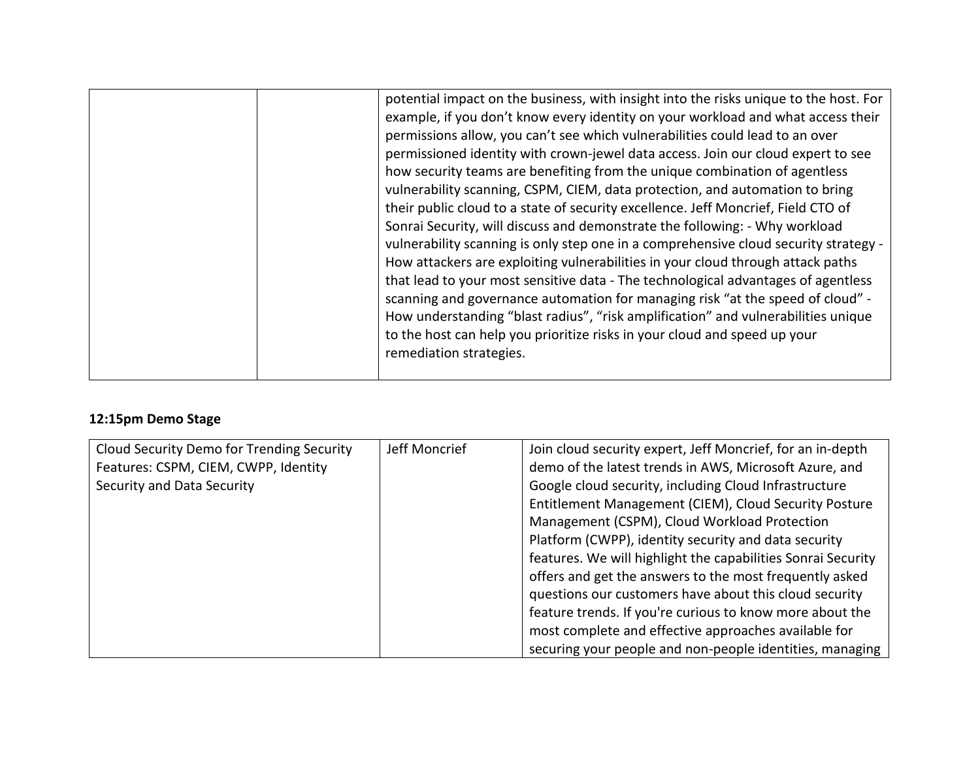|  | potential impact on the business, with insight into the risks unique to the host. For<br>example, if you don't know every identity on your workload and what access their<br>permissions allow, you can't see which vulnerabilities could lead to an over<br>permissioned identity with crown-jewel data access. Join our cloud expert to see<br>how security teams are benefiting from the unique combination of agentless<br>vulnerability scanning, CSPM, CIEM, data protection, and automation to bring<br>their public cloud to a state of security excellence. Jeff Moncrief, Field CTO of<br>Sonrai Security, will discuss and demonstrate the following: - Why workload<br>vulnerability scanning is only step one in a comprehensive cloud security strategy -<br>How attackers are exploiting vulnerabilities in your cloud through attack paths<br>that lead to your most sensitive data - The technological advantages of agentless<br>scanning and governance automation for managing risk "at the speed of cloud" - |
|--|-----------------------------------------------------------------------------------------------------------------------------------------------------------------------------------------------------------------------------------------------------------------------------------------------------------------------------------------------------------------------------------------------------------------------------------------------------------------------------------------------------------------------------------------------------------------------------------------------------------------------------------------------------------------------------------------------------------------------------------------------------------------------------------------------------------------------------------------------------------------------------------------------------------------------------------------------------------------------------------------------------------------------------------|
|  | How understanding "blast radius", "risk amplification" and vulnerabilities unique<br>to the host can help you prioritize risks in your cloud and speed up your<br>remediation strategies.                                                                                                                                                                                                                                                                                                                                                                                                                                                                                                                                                                                                                                                                                                                                                                                                                                         |
|  |                                                                                                                                                                                                                                                                                                                                                                                                                                                                                                                                                                                                                                                                                                                                                                                                                                                                                                                                                                                                                                   |

# **12:15pm Demo Stage**

| Cloud Security Demo for Trending Security | Jeff Moncrief | Join cloud security expert, Jeff Moncrief, for an in-depth   |
|-------------------------------------------|---------------|--------------------------------------------------------------|
| Features: CSPM, CIEM, CWPP, Identity      |               | demo of the latest trends in AWS, Microsoft Azure, and       |
| Security and Data Security                |               | Google cloud security, including Cloud Infrastructure        |
|                                           |               | Entitlement Management (CIEM), Cloud Security Posture        |
|                                           |               | Management (CSPM), Cloud Workload Protection                 |
|                                           |               | Platform (CWPP), identity security and data security         |
|                                           |               | features. We will highlight the capabilities Sonrai Security |
|                                           |               | offers and get the answers to the most frequently asked      |
|                                           |               | questions our customers have about this cloud security       |
|                                           |               | feature trends. If you're curious to know more about the     |
|                                           |               | most complete and effective approaches available for         |
|                                           |               | securing your people and non-people identities, managing     |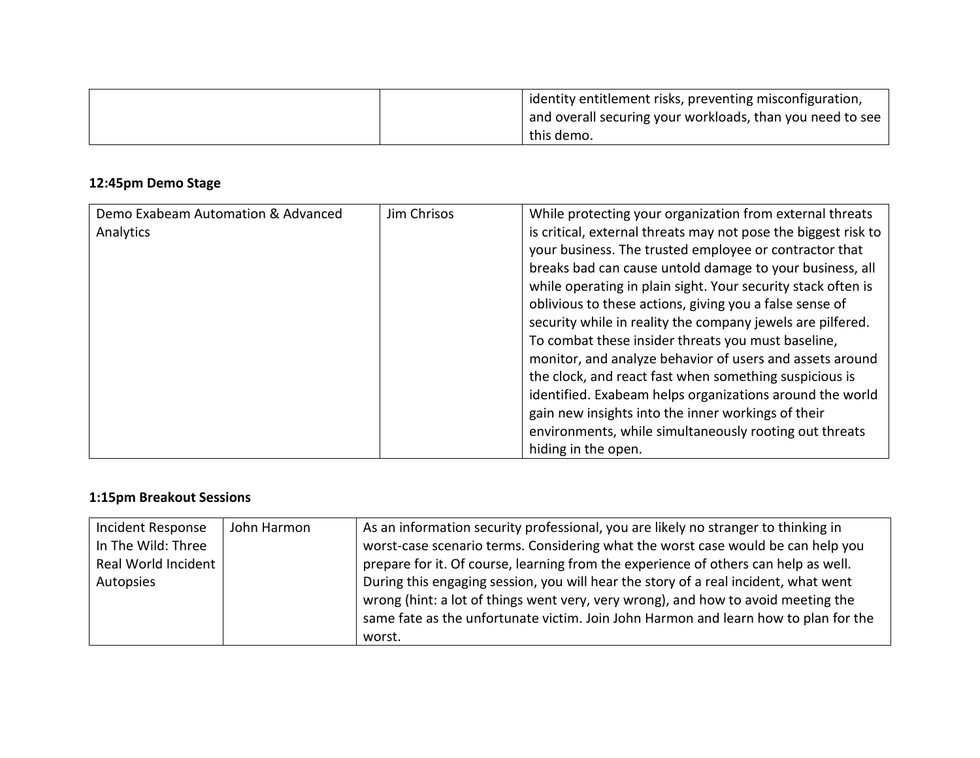| identity entitlement risks, preventing misconfiguration,  |
|-----------------------------------------------------------|
| and overall securing your workloads, than you need to see |
| this demo.                                                |

# **12:45pm Demo Stage**

| Demo Exabeam Automation & Advanced | Jim Chrisos | While protecting your organization from external threats       |
|------------------------------------|-------------|----------------------------------------------------------------|
| Analytics                          |             | is critical, external threats may not pose the biggest risk to |
|                                    |             | your business. The trusted employee or contractor that         |
|                                    |             | breaks bad can cause untold damage to your business, all       |
|                                    |             | while operating in plain sight. Your security stack often is   |
|                                    |             | oblivious to these actions, giving you a false sense of        |
|                                    |             | security while in reality the company jewels are pilfered.     |
|                                    |             | To combat these insider threats you must baseline,             |
|                                    |             | monitor, and analyze behavior of users and assets around       |
|                                    |             | the clock, and react fast when something suspicious is         |
|                                    |             | identified. Exabeam helps organizations around the world       |
|                                    |             | gain new insights into the inner workings of their             |
|                                    |             | environments, while simultaneously rooting out threats         |
|                                    |             | hiding in the open.                                            |

# **1:15pm Breakout Sessions**

| Incident Response<br>John Harmon<br>In The Wild: Three<br>Real World Incident<br>Autopsies | As an information security professional, you are likely no stranger to thinking in<br>worst-case scenario terms. Considering what the worst case would be can help you<br>prepare for it. Of course, learning from the experience of others can help as well.<br>During this engaging session, you will hear the story of a real incident, what went<br>wrong (hint: a lot of things went very, very wrong), and how to avoid meeting the<br>same fate as the unfortunate victim. Join John Harmon and learn how to plan for the<br>worst. |
|--------------------------------------------------------------------------------------------|--------------------------------------------------------------------------------------------------------------------------------------------------------------------------------------------------------------------------------------------------------------------------------------------------------------------------------------------------------------------------------------------------------------------------------------------------------------------------------------------------------------------------------------------|
|--------------------------------------------------------------------------------------------|--------------------------------------------------------------------------------------------------------------------------------------------------------------------------------------------------------------------------------------------------------------------------------------------------------------------------------------------------------------------------------------------------------------------------------------------------------------------------------------------------------------------------------------------|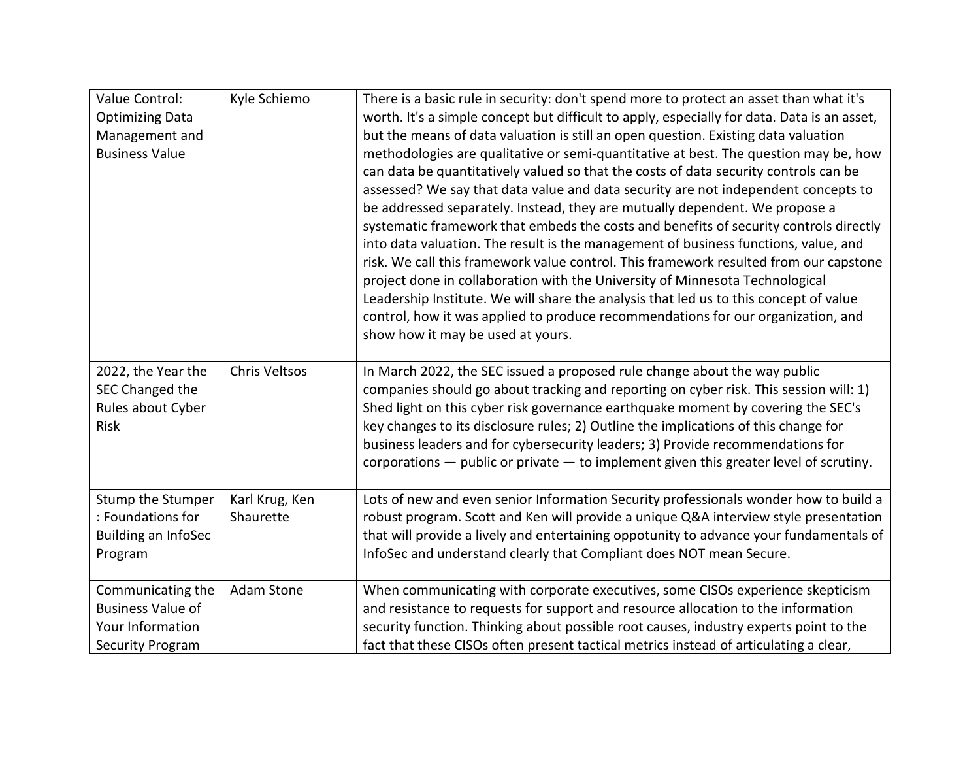| Value Control:             | Kyle Schiemo   | There is a basic rule in security: don't spend more to protect an asset than what it's      |
|----------------------------|----------------|---------------------------------------------------------------------------------------------|
| <b>Optimizing Data</b>     |                | worth. It's a simple concept but difficult to apply, especially for data. Data is an asset, |
| Management and             |                | but the means of data valuation is still an open question. Existing data valuation          |
| <b>Business Value</b>      |                | methodologies are qualitative or semi-quantitative at best. The question may be, how        |
|                            |                | can data be quantitatively valued so that the costs of data security controls can be        |
|                            |                | assessed? We say that data value and data security are not independent concepts to          |
|                            |                | be addressed separately. Instead, they are mutually dependent. We propose a                 |
|                            |                | systematic framework that embeds the costs and benefits of security controls directly       |
|                            |                | into data valuation. The result is the management of business functions, value, and         |
|                            |                | risk. We call this framework value control. This framework resulted from our capstone       |
|                            |                | project done in collaboration with the University of Minnesota Technological                |
|                            |                | Leadership Institute. We will share the analysis that led us to this concept of value       |
|                            |                | control, how it was applied to produce recommendations for our organization, and            |
|                            |                | show how it may be used at yours.                                                           |
|                            |                |                                                                                             |
| 2022, the Year the         | Chris Veltsos  | In March 2022, the SEC issued a proposed rule change about the way public                   |
| SEC Changed the            |                | companies should go about tracking and reporting on cyber risk. This session will: 1)       |
| Rules about Cyber          |                | Shed light on this cyber risk governance earthquake moment by covering the SEC's            |
| Risk                       |                | key changes to its disclosure rules; 2) Outline the implications of this change for         |
|                            |                | business leaders and for cybersecurity leaders; 3) Provide recommendations for              |
|                            |                | corporations $-$ public or private $-$ to implement given this greater level of scrutiny.   |
|                            |                |                                                                                             |
| Stump the Stumper          | Karl Krug, Ken | Lots of new and even senior Information Security professionals wonder how to build a        |
| : Foundations for          | Shaurette      | robust program. Scott and Ken will provide a unique Q&A interview style presentation        |
| <b>Building an InfoSec</b> |                | that will provide a lively and entertaining oppotunity to advance your fundamentals of      |
| Program                    |                | InfoSec and understand clearly that Compliant does NOT mean Secure.                         |
|                            |                |                                                                                             |
| Communicating the          | Adam Stone     | When communicating with corporate executives, some CISOs experience skepticism              |
| <b>Business Value of</b>   |                | and resistance to requests for support and resource allocation to the information           |
| Your Information           |                | security function. Thinking about possible root causes, industry experts point to the       |
| <b>Security Program</b>    |                | fact that these CISOs often present tactical metrics instead of articulating a clear,       |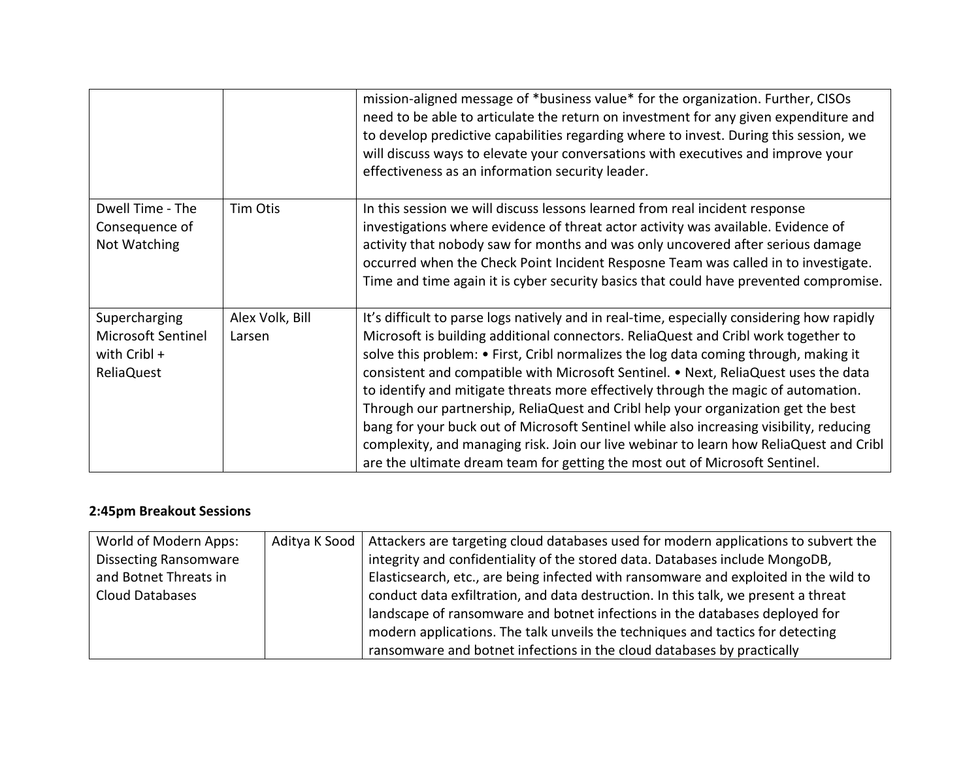|                                                                          |                           | mission-aligned message of *business value* for the organization. Further, CISOs<br>need to be able to articulate the return on investment for any given expenditure and<br>to develop predictive capabilities regarding where to invest. During this session, we<br>will discuss ways to elevate your conversations with executives and improve your<br>effectiveness as an information security leader.                                                                                                                                                                                                                                                                                                                                                                                                      |
|--------------------------------------------------------------------------|---------------------------|----------------------------------------------------------------------------------------------------------------------------------------------------------------------------------------------------------------------------------------------------------------------------------------------------------------------------------------------------------------------------------------------------------------------------------------------------------------------------------------------------------------------------------------------------------------------------------------------------------------------------------------------------------------------------------------------------------------------------------------------------------------------------------------------------------------|
| Dwell Time - The<br>Consequence of<br>Not Watching                       | Tim Otis                  | In this session we will discuss lessons learned from real incident response<br>investigations where evidence of threat actor activity was available. Evidence of<br>activity that nobody saw for months and was only uncovered after serious damage<br>occurred when the Check Point Incident Resposne Team was called in to investigate.<br>Time and time again it is cyber security basics that could have prevented compromise.                                                                                                                                                                                                                                                                                                                                                                             |
| Supercharging<br>Microsoft Sentinel<br>with Cribl +<br><b>ReliaQuest</b> | Alex Volk, Bill<br>Larsen | It's difficult to parse logs natively and in real-time, especially considering how rapidly<br>Microsoft is building additional connectors. ReliaQuest and Cribl work together to<br>solve this problem: • First, Cribl normalizes the log data coming through, making it<br>consistent and compatible with Microsoft Sentinel. • Next, ReliaQuest uses the data<br>to identify and mitigate threats more effectively through the magic of automation.<br>Through our partnership, ReliaQuest and Cribl help your organization get the best<br>bang for your buck out of Microsoft Sentinel while also increasing visibility, reducing<br>complexity, and managing risk. Join our live webinar to learn how ReliaQuest and Cribl<br>are the ultimate dream team for getting the most out of Microsoft Sentinel. |

## **2:45pm Breakout Sessions**

| World of Modern Apps:        | Aditya K Sood   Attackers are targeting cloud databases used for modern applications to subvert the |
|------------------------------|-----------------------------------------------------------------------------------------------------|
| <b>Dissecting Ransomware</b> | integrity and confidentiality of the stored data. Databases include MongoDB,                        |
| and Botnet Threats in        | Elasticsearch, etc., are being infected with ransomware and exploited in the wild to                |
| Cloud Databases              | conduct data exfiltration, and data destruction. In this talk, we present a threat                  |
|                              | landscape of ransomware and botnet infections in the databases deployed for                         |
|                              | modern applications. The talk unveils the techniques and tactics for detecting                      |
|                              | ransomware and botnet infections in the cloud databases by practically                              |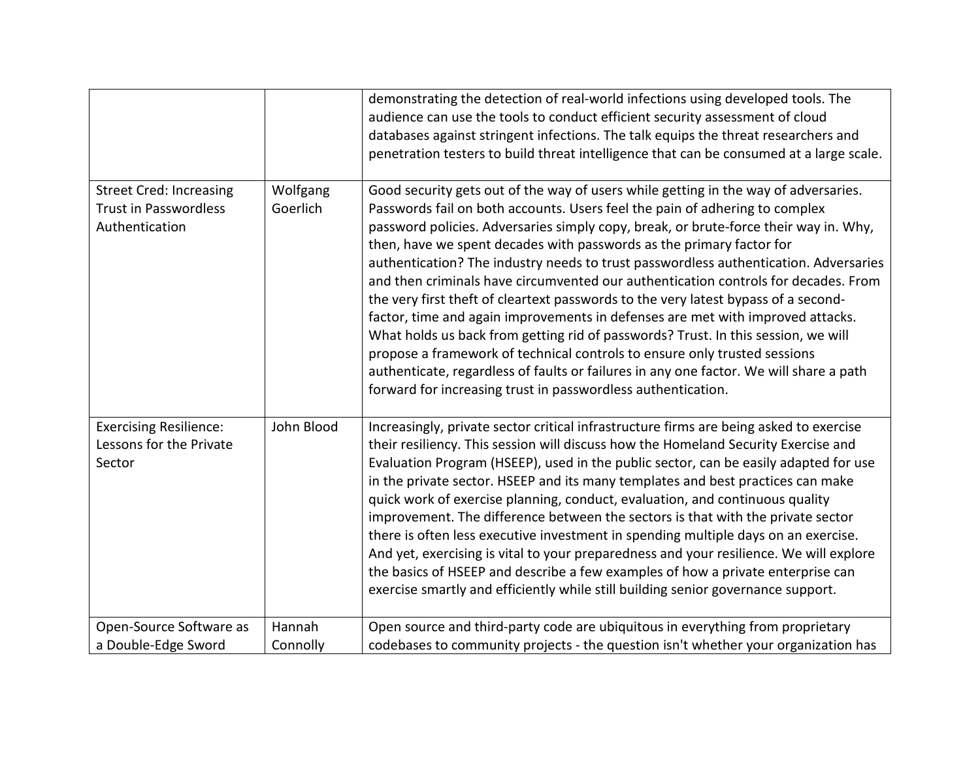|                                                                                  |                      | demonstrating the detection of real-world infections using developed tools. The<br>audience can use the tools to conduct efficient security assessment of cloud<br>databases against stringent infections. The talk equips the threat researchers and<br>penetration testers to build threat intelligence that can be consumed at a large scale.                                                                                                                                                                                                                                                                                                                                                                                                                                                                                                                                                                                                                                                                     |
|----------------------------------------------------------------------------------|----------------------|----------------------------------------------------------------------------------------------------------------------------------------------------------------------------------------------------------------------------------------------------------------------------------------------------------------------------------------------------------------------------------------------------------------------------------------------------------------------------------------------------------------------------------------------------------------------------------------------------------------------------------------------------------------------------------------------------------------------------------------------------------------------------------------------------------------------------------------------------------------------------------------------------------------------------------------------------------------------------------------------------------------------|
| <b>Street Cred: Increasing</b><br><b>Trust in Passwordless</b><br>Authentication | Wolfgang<br>Goerlich | Good security gets out of the way of users while getting in the way of adversaries.<br>Passwords fail on both accounts. Users feel the pain of adhering to complex<br>password policies. Adversaries simply copy, break, or brute-force their way in. Why,<br>then, have we spent decades with passwords as the primary factor for<br>authentication? The industry needs to trust passwordless authentication. Adversaries<br>and then criminals have circumvented our authentication controls for decades. From<br>the very first theft of cleartext passwords to the very latest bypass of a second-<br>factor, time and again improvements in defenses are met with improved attacks.<br>What holds us back from getting rid of passwords? Trust. In this session, we will<br>propose a framework of technical controls to ensure only trusted sessions<br>authenticate, regardless of faults or failures in any one factor. We will share a path<br>forward for increasing trust in passwordless authentication. |
| <b>Exercising Resilience:</b><br>Lessons for the Private<br>Sector               | John Blood           | Increasingly, private sector critical infrastructure firms are being asked to exercise<br>their resiliency. This session will discuss how the Homeland Security Exercise and<br>Evaluation Program (HSEEP), used in the public sector, can be easily adapted for use<br>in the private sector. HSEEP and its many templates and best practices can make<br>quick work of exercise planning, conduct, evaluation, and continuous quality<br>improvement. The difference between the sectors is that with the private sector<br>there is often less executive investment in spending multiple days on an exercise.<br>And yet, exercising is vital to your preparedness and your resilience. We will explore<br>the basics of HSEEP and describe a few examples of how a private enterprise can<br>exercise smartly and efficiently while still building senior governance support.                                                                                                                                    |
| Open-Source Software as<br>a Double-Edge Sword                                   | Hannah<br>Connolly   | Open source and third-party code are ubiquitous in everything from proprietary<br>codebases to community projects - the question isn't whether your organization has                                                                                                                                                                                                                                                                                                                                                                                                                                                                                                                                                                                                                                                                                                                                                                                                                                                 |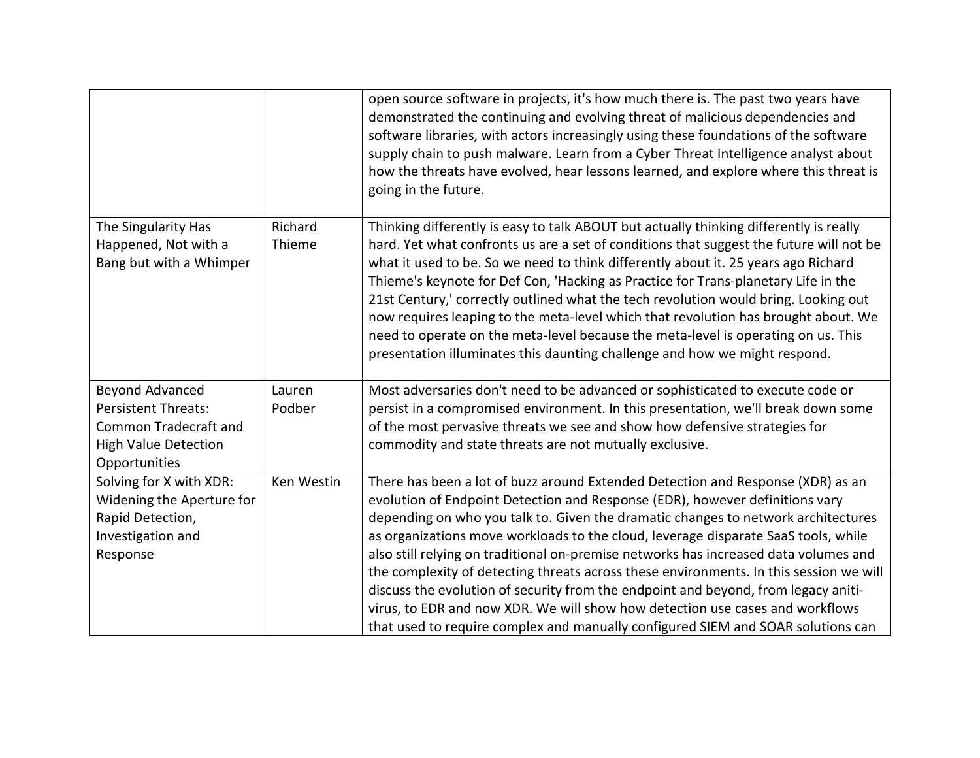|                                                             |            | open source software in projects, it's how much there is. The past two years have<br>demonstrated the continuing and evolving threat of malicious dependencies and<br>software libraries, with actors increasingly using these foundations of the software<br>supply chain to push malware. Learn from a Cyber Threat Intelligence analyst about<br>how the threats have evolved, hear lessons learned, and explore where this threat is<br>going in the future.                                                         |
|-------------------------------------------------------------|------------|--------------------------------------------------------------------------------------------------------------------------------------------------------------------------------------------------------------------------------------------------------------------------------------------------------------------------------------------------------------------------------------------------------------------------------------------------------------------------------------------------------------------------|
| The Singularity Has                                         | Richard    | Thinking differently is easy to talk ABOUT but actually thinking differently is really                                                                                                                                                                                                                                                                                                                                                                                                                                   |
| Happened, Not with a                                        | Thieme     | hard. Yet what confronts us are a set of conditions that suggest the future will not be                                                                                                                                                                                                                                                                                                                                                                                                                                  |
| Bang but with a Whimper                                     |            | what it used to be. So we need to think differently about it. 25 years ago Richard<br>Thieme's keynote for Def Con, 'Hacking as Practice for Trans-planetary Life in the<br>21st Century,' correctly outlined what the tech revolution would bring. Looking out<br>now requires leaping to the meta-level which that revolution has brought about. We<br>need to operate on the meta-level because the meta-level is operating on us. This<br>presentation illuminates this daunting challenge and how we might respond. |
| Beyond Advanced                                             | Lauren     | Most adversaries don't need to be advanced or sophisticated to execute code or                                                                                                                                                                                                                                                                                                                                                                                                                                           |
| <b>Persistent Threats:</b>                                  | Podber     | persist in a compromised environment. In this presentation, we'll break down some                                                                                                                                                                                                                                                                                                                                                                                                                                        |
| <b>Common Tradecraft and</b><br><b>High Value Detection</b> |            | of the most pervasive threats we see and show how defensive strategies for<br>commodity and state threats are not mutually exclusive.                                                                                                                                                                                                                                                                                                                                                                                    |
| Opportunities                                               |            |                                                                                                                                                                                                                                                                                                                                                                                                                                                                                                                          |
| Solving for X with XDR:                                     | Ken Westin | There has been a lot of buzz around Extended Detection and Response (XDR) as an                                                                                                                                                                                                                                                                                                                                                                                                                                          |
| Widening the Aperture for                                   |            | evolution of Endpoint Detection and Response (EDR), however definitions vary                                                                                                                                                                                                                                                                                                                                                                                                                                             |
| Rapid Detection,<br>Investigation and                       |            | depending on who you talk to. Given the dramatic changes to network architectures<br>as organizations move workloads to the cloud, leverage disparate SaaS tools, while                                                                                                                                                                                                                                                                                                                                                  |
| Response                                                    |            | also still relying on traditional on-premise networks has increased data volumes and                                                                                                                                                                                                                                                                                                                                                                                                                                     |
|                                                             |            | the complexity of detecting threats across these environments. In this session we will                                                                                                                                                                                                                                                                                                                                                                                                                                   |
|                                                             |            | discuss the evolution of security from the endpoint and beyond, from legacy aniti-                                                                                                                                                                                                                                                                                                                                                                                                                                       |
|                                                             |            | virus, to EDR and now XDR. We will show how detection use cases and workflows                                                                                                                                                                                                                                                                                                                                                                                                                                            |
|                                                             |            | that used to require complex and manually configured SIEM and SOAR solutions can                                                                                                                                                                                                                                                                                                                                                                                                                                         |